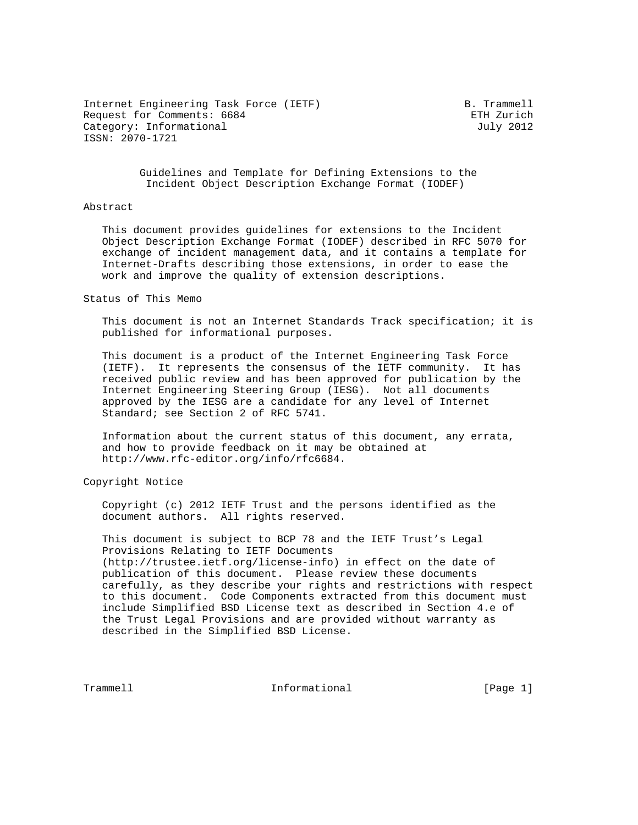Internet Engineering Task Force (IETF) B. Trammell Request for Comments: 6684 et al. 2011 and 2012 and 2013 and 2014 and 2013 Category: Informational distribution of the United Stategory: United Stategory: United Stategory: United Stategory ISSN: 2070-1721

 Guidelines and Template for Defining Extensions to the Incident Object Description Exchange Format (IODEF)

### Abstract

 This document provides guidelines for extensions to the Incident Object Description Exchange Format (IODEF) described in RFC 5070 for exchange of incident management data, and it contains a template for Internet-Drafts describing those extensions, in order to ease the work and improve the quality of extension descriptions.

Status of This Memo

 This document is not an Internet Standards Track specification; it is published for informational purposes.

 This document is a product of the Internet Engineering Task Force (IETF). It represents the consensus of the IETF community. It has received public review and has been approved for publication by the Internet Engineering Steering Group (IESG). Not all documents approved by the IESG are a candidate for any level of Internet Standard; see Section 2 of RFC 5741.

 Information about the current status of this document, any errata, and how to provide feedback on it may be obtained at http://www.rfc-editor.org/info/rfc6684.

Copyright Notice

 Copyright (c) 2012 IETF Trust and the persons identified as the document authors. All rights reserved.

 This document is subject to BCP 78 and the IETF Trust's Legal Provisions Relating to IETF Documents (http://trustee.ietf.org/license-info) in effect on the date of publication of this document. Please review these documents carefully, as they describe your rights and restrictions with respect to this document. Code Components extracted from this document must include Simplified BSD License text as described in Section 4.e of the Trust Legal Provisions and are provided without warranty as described in the Simplified BSD License.

Trammell **Informational** Informational [Page 1]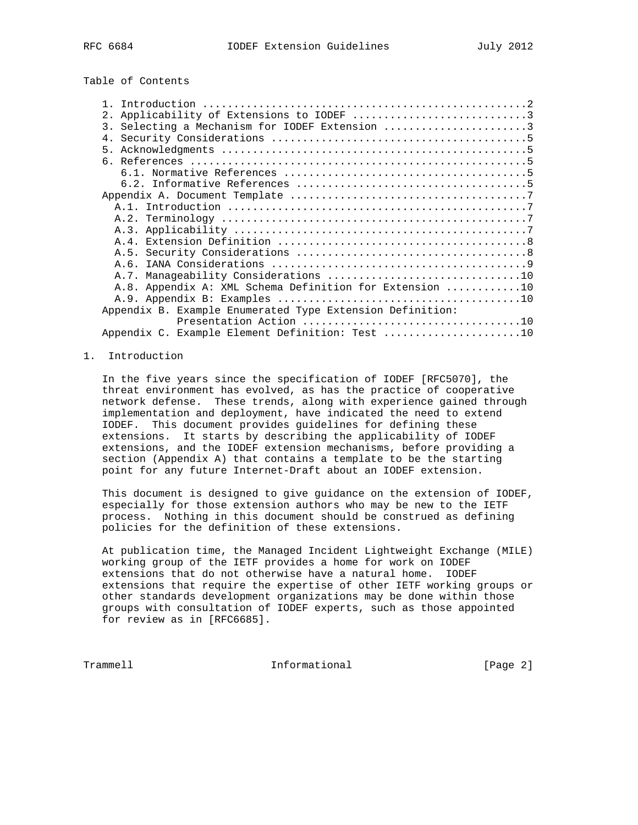# Table of Contents

| 2. Applicability of Extensions to IODEF 3                 |  |
|-----------------------------------------------------------|--|
| 3. Selecting a Mechanism for IODEF Extension 3            |  |
|                                                           |  |
|                                                           |  |
|                                                           |  |
|                                                           |  |
|                                                           |  |
|                                                           |  |
|                                                           |  |
|                                                           |  |
|                                                           |  |
|                                                           |  |
|                                                           |  |
|                                                           |  |
|                                                           |  |
| A.8. Appendix A: XML Schema Definition for Extension 10   |  |
|                                                           |  |
| Appendix B. Example Enumerated Type Extension Definition: |  |
|                                                           |  |
| Appendix C. Example Element Definition: Test 10           |  |
|                                                           |  |

## 1. Introduction

 In the five years since the specification of IODEF [RFC5070], the threat environment has evolved, as has the practice of cooperative network defense. These trends, along with experience gained through implementation and deployment, have indicated the need to extend IODEF. This document provides guidelines for defining these extensions. It starts by describing the applicability of IODEF extensions, and the IODEF extension mechanisms, before providing a section (Appendix A) that contains a template to be the starting point for any future Internet-Draft about an IODEF extension.

 This document is designed to give guidance on the extension of IODEF, especially for those extension authors who may be new to the IETF process. Nothing in this document should be construed as defining policies for the definition of these extensions.

 At publication time, the Managed Incident Lightweight Exchange (MILE) working group of the IETF provides a home for work on IODEF extensions that do not otherwise have a natural home. IODEF extensions that require the expertise of other IETF working groups or other standards development organizations may be done within those groups with consultation of IODEF experts, such as those appointed for review as in [RFC6685].

Trammell **Informational Informational** [Page 2]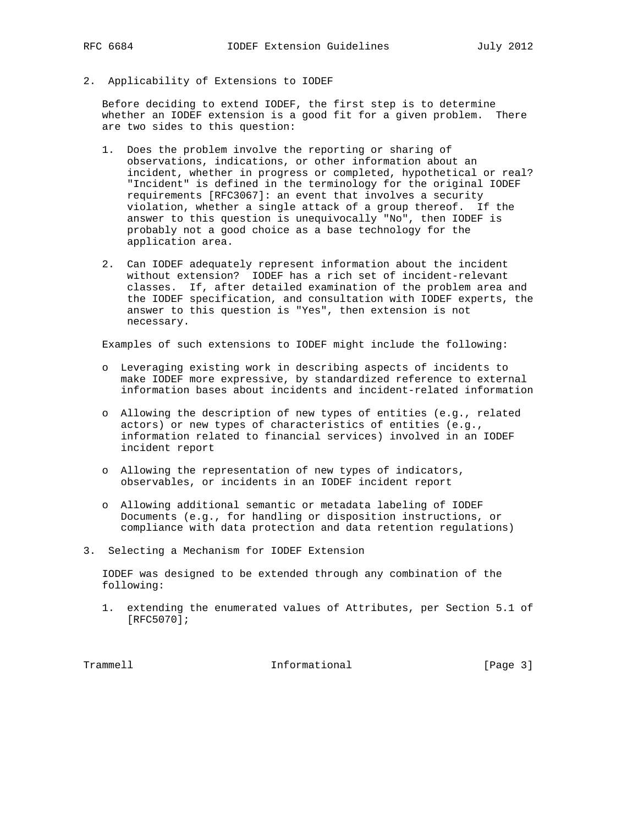2. Applicability of Extensions to IODEF

 Before deciding to extend IODEF, the first step is to determine whether an IODEF extension is a good fit for a given problem. There are two sides to this question:

- 1. Does the problem involve the reporting or sharing of observations, indications, or other information about an incident, whether in progress or completed, hypothetical or real? "Incident" is defined in the terminology for the original IODEF requirements [RFC3067]: an event that involves a security violation, whether a single attack of a group thereof. If the answer to this question is unequivocally "No", then IODEF is probably not a good choice as a base technology for the application area.
- 2. Can IODEF adequately represent information about the incident without extension? IODEF has a rich set of incident-relevant classes. If, after detailed examination of the problem area and the IODEF specification, and consultation with IODEF experts, the answer to this question is "Yes", then extension is not necessary.

Examples of such extensions to IODEF might include the following:

- o Leveraging existing work in describing aspects of incidents to make IODEF more expressive, by standardized reference to external information bases about incidents and incident-related information
- o Allowing the description of new types of entities (e.g., related actors) or new types of characteristics of entities (e.g., information related to financial services) involved in an IODEF incident report
- o Allowing the representation of new types of indicators, observables, or incidents in an IODEF incident report
- o Allowing additional semantic or metadata labeling of IODEF Documents (e.g., for handling or disposition instructions, or compliance with data protection and data retention regulations)
- 3. Selecting a Mechanism for IODEF Extension

 IODEF was designed to be extended through any combination of the following:

 1. extending the enumerated values of Attributes, per Section 5.1 of [RFC5070];

Trammell **Informational** Informational [Page 3]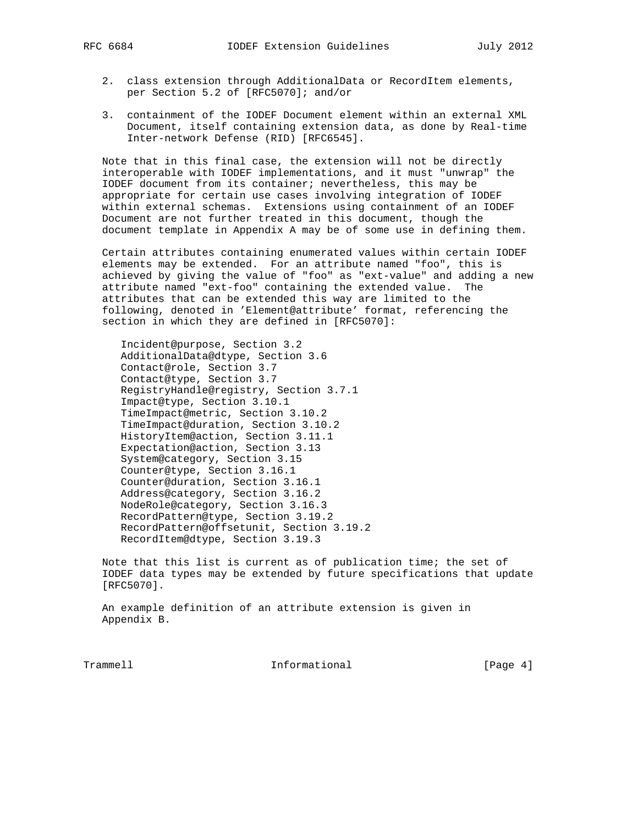- 2. class extension through AdditionalData or RecordItem elements, per Section 5.2 of [RFC5070]; and/or
- 3. containment of the IODEF Document element within an external XML Document, itself containing extension data, as done by Real-time Inter-network Defense (RID) [RFC6545].

 Note that in this final case, the extension will not be directly interoperable with IODEF implementations, and it must "unwrap" the IODEF document from its container; nevertheless, this may be appropriate for certain use cases involving integration of IODEF within external schemas. Extensions using containment of an IODEF Document are not further treated in this document, though the document template in Appendix A may be of some use in defining them.

 Certain attributes containing enumerated values within certain IODEF elements may be extended. For an attribute named "foo", this is achieved by giving the value of "foo" as "ext-value" and adding a new attribute named "ext-foo" containing the extended value. The attributes that can be extended this way are limited to the following, denoted in 'Element@attribute' format, referencing the section in which they are defined in [RFC5070]:

 Incident@purpose, Section 3.2 AdditionalData@dtype, Section 3.6 Contact@role, Section 3.7 Contact@type, Section 3.7 RegistryHandle@registry, Section 3.7.1 Impact@type, Section 3.10.1 TimeImpact@metric, Section 3.10.2 TimeImpact@duration, Section 3.10.2 HistoryItem@action, Section 3.11.1 Expectation@action, Section 3.13 System@category, Section 3.15 Counter@type, Section 3.16.1 Counter@duration, Section 3.16.1 Address@category, Section 3.16.2 NodeRole@category, Section 3.16.3 RecordPattern@type, Section 3.19.2 RecordPattern@offsetunit, Section 3.19.2 RecordItem@dtype, Section 3.19.3

 Note that this list is current as of publication time; the set of IODEF data types may be extended by future specifications that update [RFC5070].

 An example definition of an attribute extension is given in Appendix B.

Trammell **Informational Informational** [Page 4]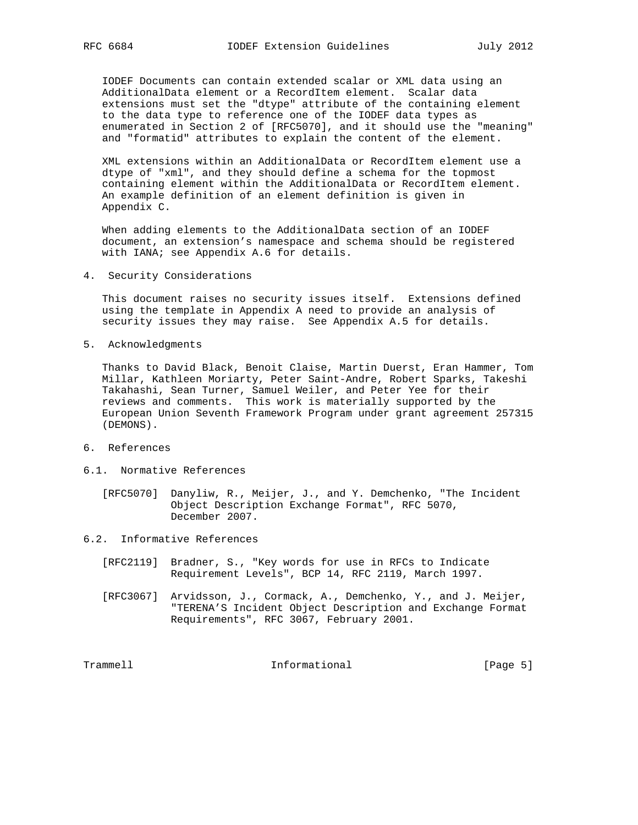IODEF Documents can contain extended scalar or XML data using an AdditionalData element or a RecordItem element. Scalar data extensions must set the "dtype" attribute of the containing element to the data type to reference one of the IODEF data types as enumerated in Section 2 of [RFC5070], and it should use the "meaning" and "formatid" attributes to explain the content of the element.

 XML extensions within an AdditionalData or RecordItem element use a dtype of "xml", and they should define a schema for the topmost containing element within the AdditionalData or RecordItem element. An example definition of an element definition is given in Appendix C.

 When adding elements to the AdditionalData section of an IODEF document, an extension's namespace and schema should be registered with IANA; see Appendix A.6 for details.

4. Security Considerations

 This document raises no security issues itself. Extensions defined using the template in Appendix A need to provide an analysis of security issues they may raise. See Appendix A.5 for details.

5. Acknowledgments

 Thanks to David Black, Benoit Claise, Martin Duerst, Eran Hammer, Tom Millar, Kathleen Moriarty, Peter Saint-Andre, Robert Sparks, Takeshi Takahashi, Sean Turner, Samuel Weiler, and Peter Yee for their reviews and comments. This work is materially supported by the European Union Seventh Framework Program under grant agreement 257315 (DEMONS).

- 6. References
- 6.1. Normative References
	- [RFC5070] Danyliw, R., Meijer, J., and Y. Demchenko, "The Incident Object Description Exchange Format", RFC 5070, December 2007.
- 6.2. Informative References
	- [RFC2119] Bradner, S., "Key words for use in RFCs to Indicate Requirement Levels", BCP 14, RFC 2119, March 1997.
	- [RFC3067] Arvidsson, J., Cormack, A., Demchenko, Y., and J. Meijer, "TERENA'S Incident Object Description and Exchange Format Requirements", RFC 3067, February 2001.

Trammell **Informational** Informational [Page 5]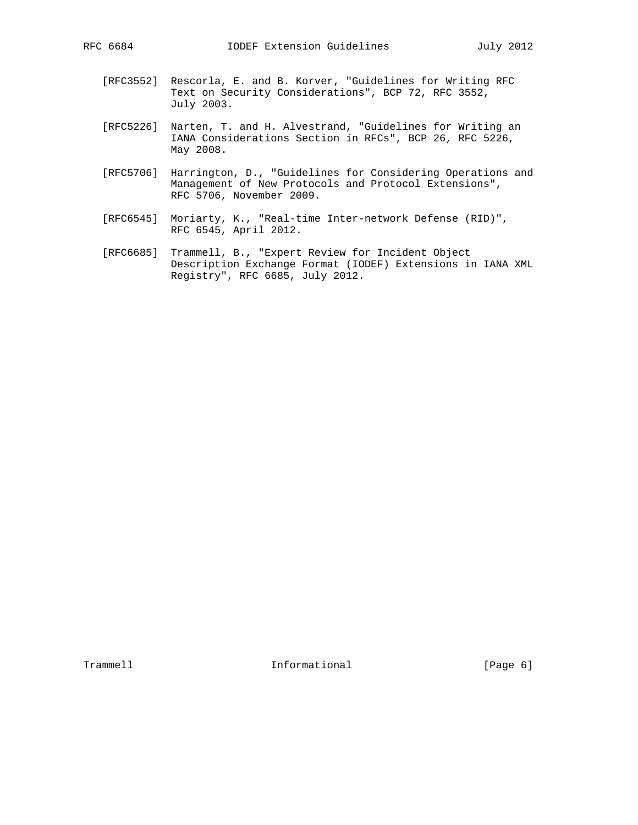- [RFC3552] Rescorla, E. and B. Korver, "Guidelines for Writing RFC Text on Security Considerations", BCP 72, RFC 3552, July 2003.
- [RFC5226] Narten, T. and H. Alvestrand, "Guidelines for Writing an IANA Considerations Section in RFCs", BCP 26, RFC 5226, May 2008.
- [RFC5706] Harrington, D., "Guidelines for Considering Operations and Management of New Protocols and Protocol Extensions", RFC 5706, November 2009.
- [RFC6545] Moriarty, K., "Real-time Inter-network Defense (RID)", RFC 6545, April 2012.
- [RFC6685] Trammell, B., "Expert Review for Incident Object Description Exchange Format (IODEF) Extensions in IANA XML Registry", RFC 6685, July 2012.

Trammell **Informational** Informational [Page 6]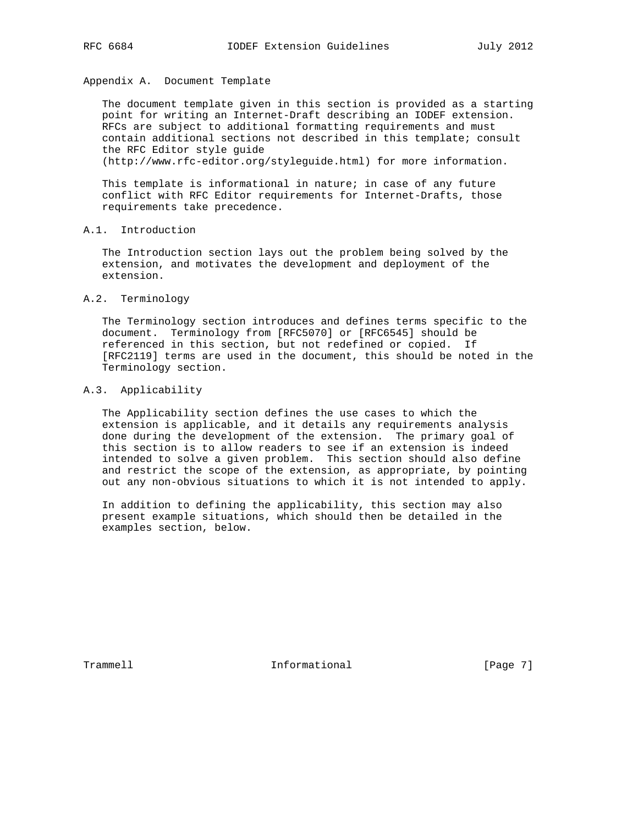## Appendix A. Document Template

 The document template given in this section is provided as a starting point for writing an Internet-Draft describing an IODEF extension. RFCs are subject to additional formatting requirements and must contain additional sections not described in this template; consult the RFC Editor style guide

(http://www.rfc-editor.org/styleguide.html) for more information.

 This template is informational in nature; in case of any future conflict with RFC Editor requirements for Internet-Drafts, those requirements take precedence.

### A.1. Introduction

 The Introduction section lays out the problem being solved by the extension, and motivates the development and deployment of the extension.

#### A.2. Terminology

 The Terminology section introduces and defines terms specific to the document. Terminology from [RFC5070] or [RFC6545] should be referenced in this section, but not redefined or copied. If [RFC2119] terms are used in the document, this should be noted in the Terminology section.

### A.3. Applicability

 The Applicability section defines the use cases to which the extension is applicable, and it details any requirements analysis done during the development of the extension. The primary goal of this section is to allow readers to see if an extension is indeed intended to solve a given problem. This section should also define and restrict the scope of the extension, as appropriate, by pointing out any non-obvious situations to which it is not intended to apply.

 In addition to defining the applicability, this section may also present example situations, which should then be detailed in the examples section, below.

Trammell **Informational** Informational [Page 7]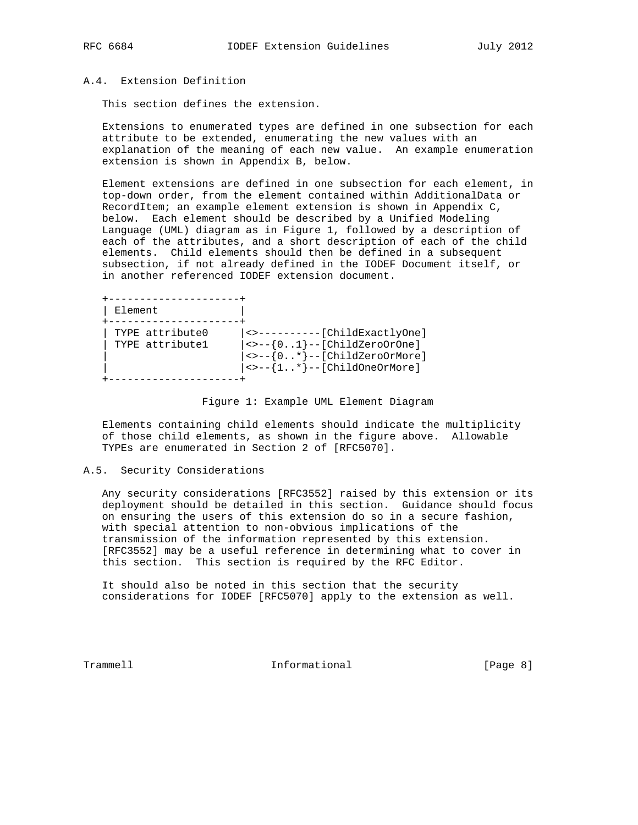### A.4. Extension Definition

This section defines the extension.

 Extensions to enumerated types are defined in one subsection for each attribute to be extended, enumerating the new values with an explanation of the meaning of each new value. An example enumeration extension is shown in Appendix B, below.

 Element extensions are defined in one subsection for each element, in top-down order, from the element contained within AdditionalData or RecordItem; an example element extension is shown in Appendix C, below. Each element should be described by a Unified Modeling Language (UML) diagram as in Figure 1, followed by a description of each of the attributes, and a short description of each of the child elements. Child elements should then be defined in a subsequent subsection, if not already defined in the IODEF Document itself, or in another referenced IODEF extension document.

| Element                            |                                                                                                                                                                                                         |
|------------------------------------|---------------------------------------------------------------------------------------------------------------------------------------------------------------------------------------------------------|
| TYPE attribute0<br>TYPE attribute1 | <>----------[ChildExactlyOne]<br>$  \leftrightarrow -\{01\}$ --[ChildZeroOrOne]<br>$  \leftrightarrow -\{0* \} -- [ChildrenOcrMore]$<br>$ \leftrightarrow -{\{1*\}--[Children{\text{ChildOneOrMore}\}}$ |

#### Figure 1: Example UML Element Diagram

 Elements containing child elements should indicate the multiplicity of those child elements, as shown in the figure above. Allowable TYPEs are enumerated in Section 2 of [RFC5070].

### A.5. Security Considerations

 Any security considerations [RFC3552] raised by this extension or its deployment should be detailed in this section. Guidance should focus on ensuring the users of this extension do so in a secure fashion, with special attention to non-obvious implications of the transmission of the information represented by this extension. [RFC3552] may be a useful reference in determining what to cover in this section. This section is required by the RFC Editor.

 It should also be noted in this section that the security considerations for IODEF [RFC5070] apply to the extension as well.

Trammell **Informational** Informational [Page 8]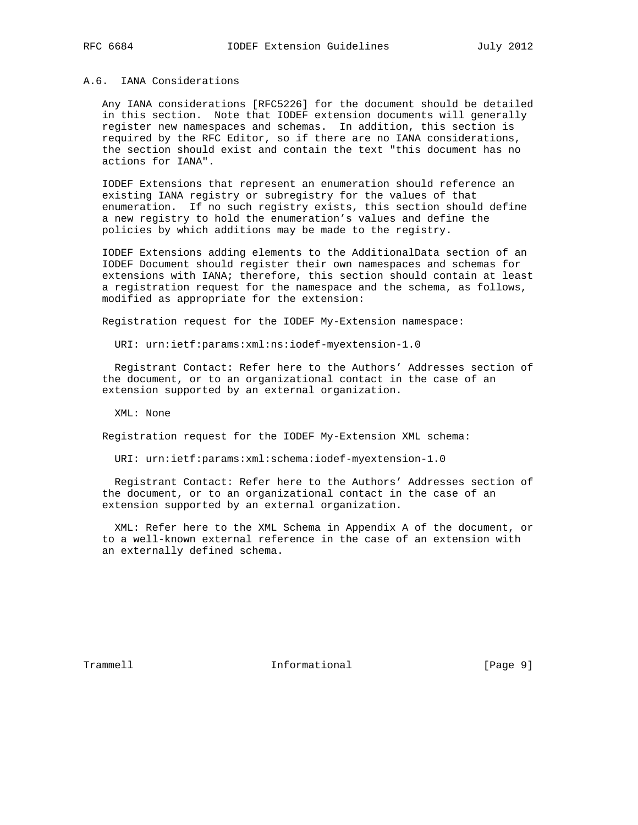#### A.6. IANA Considerations

 Any IANA considerations [RFC5226] for the document should be detailed in this section. Note that IODEF extension documents will generally register new namespaces and schemas. In addition, this section is required by the RFC Editor, so if there are no IANA considerations, the section should exist and contain the text "this document has no actions for IANA".

 IODEF Extensions that represent an enumeration should reference an existing IANA registry or subregistry for the values of that enumeration. If no such registry exists, this section should define a new registry to hold the enumeration's values and define the policies by which additions may be made to the registry.

 IODEF Extensions adding elements to the AdditionalData section of an IODEF Document should register their own namespaces and schemas for extensions with IANA; therefore, this section should contain at least a registration request for the namespace and the schema, as follows, modified as appropriate for the extension:

Registration request for the IODEF My-Extension namespace:

URI: urn:ietf:params:xml:ns:iodef-myextension-1.0

 Registrant Contact: Refer here to the Authors' Addresses section of the document, or to an organizational contact in the case of an extension supported by an external organization.

XML: None

Registration request for the IODEF My-Extension XML schema:

URI: urn:ietf:params:xml:schema:iodef-myextension-1.0

 Registrant Contact: Refer here to the Authors' Addresses section of the document, or to an organizational contact in the case of an extension supported by an external organization.

 XML: Refer here to the XML Schema in Appendix A of the document, or to a well-known external reference in the case of an extension with an externally defined schema.

Trammell **Informational** Informational [Page 9]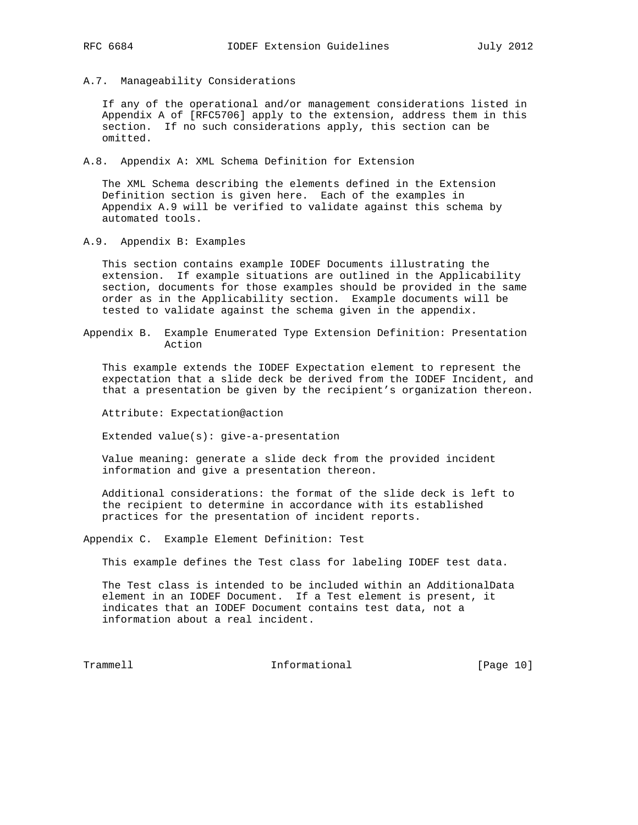A.7. Manageability Considerations

 If any of the operational and/or management considerations listed in Appendix A of [RFC5706] apply to the extension, address them in this section. If no such considerations apply, this section can be omitted.

A.8. Appendix A: XML Schema Definition for Extension

 The XML Schema describing the elements defined in the Extension Definition section is given here. Each of the examples in Appendix A.9 will be verified to validate against this schema by automated tools.

A.9. Appendix B: Examples

 This section contains example IODEF Documents illustrating the extension. If example situations are outlined in the Applicability section, documents for those examples should be provided in the same order as in the Applicability section. Example documents will be tested to validate against the schema given in the appendix.

Appendix B. Example Enumerated Type Extension Definition: Presentation Action

 This example extends the IODEF Expectation element to represent the expectation that a slide deck be derived from the IODEF Incident, and that a presentation be given by the recipient's organization thereon.

Attribute: Expectation@action

Extended value(s): give-a-presentation

 Value meaning: generate a slide deck from the provided incident information and give a presentation thereon.

 Additional considerations: the format of the slide deck is left to the recipient to determine in accordance with its established practices for the presentation of incident reports.

Appendix C. Example Element Definition: Test

This example defines the Test class for labeling IODEF test data.

 The Test class is intended to be included within an AdditionalData element in an IODEF Document. If a Test element is present, it indicates that an IODEF Document contains test data, not a information about a real incident.

Trammell **Informational** Informational [Page 10]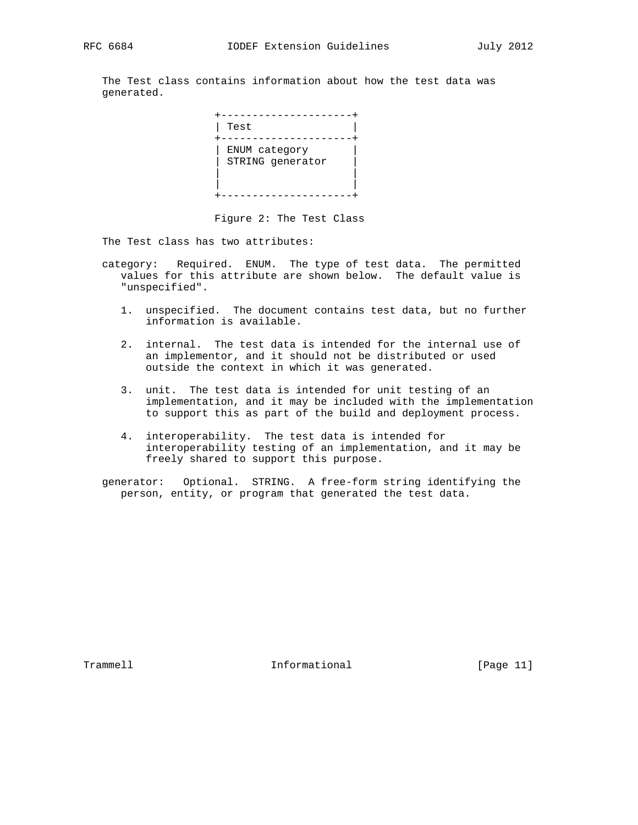The Test class contains information about how the test data was generated.

| Test                              |
|-----------------------------------|
| ENUM category<br>STRING generator |

Figure 2: The Test Class

The Test class has two attributes:

- category: Required. ENUM. The type of test data. The permitted values for this attribute are shown below. The default value is "unspecified".
	- 1. unspecified. The document contains test data, but no further information is available.
	- 2. internal. The test data is intended for the internal use of an implementor, and it should not be distributed or used outside the context in which it was generated.
	- 3. unit. The test data is intended for unit testing of an implementation, and it may be included with the implementation to support this as part of the build and deployment process.
	- 4. interoperability. The test data is intended for interoperability testing of an implementation, and it may be freely shared to support this purpose.

 generator: Optional. STRING. A free-form string identifying the person, entity, or program that generated the test data.

Trammell **Informational** Informational [Page 11]